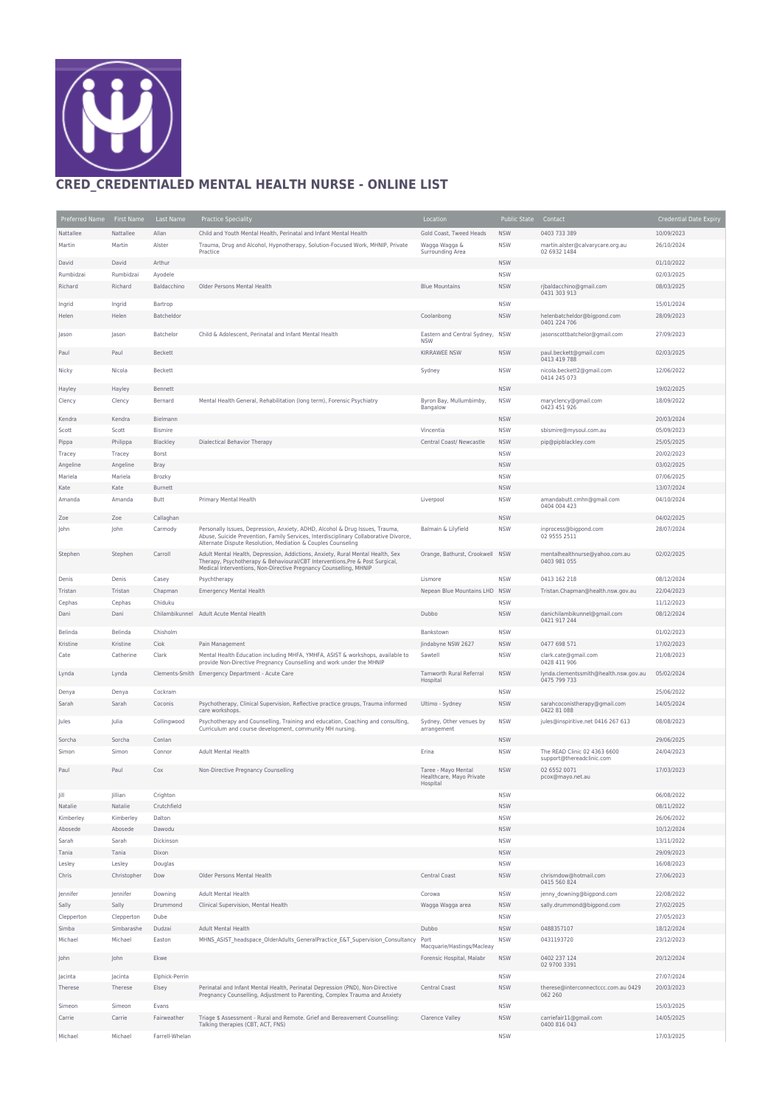

## **CRED\_CREDENTIALED MENTAL HEALTH NURSE - ONLINE LIST**

| Preferred Name   | First Name       | Last Name            | <b>Practice Speciality</b>                                                                                                                                                                                                           | Location                                                    | Public State Contact     |                                                       | <b>Credential Date Expiry</b> |
|------------------|------------------|----------------------|--------------------------------------------------------------------------------------------------------------------------------------------------------------------------------------------------------------------------------------|-------------------------------------------------------------|--------------------------|-------------------------------------------------------|-------------------------------|
| Nattallee        | Nattallee        | Allan                | Child and Youth Mental Health, Perinatal and Infant Mental Health                                                                                                                                                                    | Gold Coast, Tweed Heads                                     | <b>NSW</b>               | 0403 733 389                                          | 10/09/2023                    |
| Martin           | Martin           | Alster               | Trauma, Drug and Alcohol, Hypnotherapy, Solution-Focused Work, MHNIP, Private                                                                                                                                                        | Wagga Wagga &                                               | <b>NSW</b>               | martin.alster@calvarycare.org.au                      | 26/10/2024                    |
|                  |                  |                      | Practice                                                                                                                                                                                                                             | Surrounding Area                                            |                          | 02 6932 1484                                          |                               |
| David            | David            | Arthur               |                                                                                                                                                                                                                                      |                                                             | <b>NSW</b>               |                                                       | 01/10/2022                    |
| Rumbidzai        | Rumbidzai        | Ayodele              |                                                                                                                                                                                                                                      |                                                             | <b>NSW</b>               |                                                       | 02/03/2025                    |
| Richard          | Richard          | Baldacchino          | Older Persons Mental Health                                                                                                                                                                                                          | <b>Blue Mountains</b>                                       | <b>NSW</b>               | rjbaldacchino@gmail.com<br>0431 303 913               | 08/03/2025                    |
| Ingrid           | Ingrid           | Bartrop              |                                                                                                                                                                                                                                      |                                                             | <b>NSW</b>               |                                                       | 15/01/2024                    |
| Helen            | Helen            | Batcheldor           |                                                                                                                                                                                                                                      | Coolanbong                                                  | <b>NSW</b>               | helenbatcheldor@bigpond.com<br>0401 224 706           | 28/09/2023                    |
| Jason            | lason            | Batchelor            | Child & Adolescent, Perinatal and Infant Mental Health                                                                                                                                                                               | Eastern and Central Sydney, NSW                             |                          | jasonscottbatchelor@gmail.com                         | 27/09/2023                    |
|                  |                  |                      |                                                                                                                                                                                                                                      | <b>NSW</b>                                                  |                          |                                                       |                               |
| Paul             | Paul             | Beckett              |                                                                                                                                                                                                                                      | <b>KIRRAWEE NSW</b>                                         | <b>NSW</b>               | paul.beckett@gmail.com<br>0413 419 788                | 02/03/2025                    |
| Nicky            | Nicola           | Beckett              |                                                                                                                                                                                                                                      | Sydney                                                      | <b>NSW</b>               | nicola.beckett2@gmail.com                             | 12/06/2022                    |
|                  |                  |                      |                                                                                                                                                                                                                                      |                                                             |                          | 0414 245 073                                          |                               |
| Hayley           | Hayley           | Bennett              |                                                                                                                                                                                                                                      |                                                             | <b>NSW</b>               |                                                       | 19/02/2025                    |
| Clency           | Clency           | Bernard              | Mental Health General, Rehabilitation (long term), Forensic Psychiatry                                                                                                                                                               | Byron Bay, Mullumbimby,<br>Bangalow                         | <b>NSW</b>               | maryclency@gmail.com<br>0423 451 926                  | 18/09/2022                    |
| Kendra           | Kendra           | Bielmann             |                                                                                                                                                                                                                                      |                                                             | <b>NSW</b>               |                                                       | 20/03/2024                    |
| Scott            | Scott            | <b>Bismire</b>       |                                                                                                                                                                                                                                      | Vincentia                                                   | <b>NSW</b>               | sbismire@mysoul.com.au                                | 05/09/2023                    |
| Pippa            | Philippa         | Blackley             | <b>Dialectical Behavior Therapy</b>                                                                                                                                                                                                  | Central Coast/ Newcastle                                    | <b>NSW</b>               | pip@pipblackley.com                                   | 25/05/2025                    |
| Tracey           | Tracey           | Borst                |                                                                                                                                                                                                                                      |                                                             | <b>NSW</b>               |                                                       | 20/02/2023                    |
| Angeline         | Angeline         | Bray                 |                                                                                                                                                                                                                                      |                                                             | <b>NSW</b>               |                                                       | 03/02/2025                    |
| Mariela          | Mariela          | Brozky               |                                                                                                                                                                                                                                      |                                                             | <b>NSW</b>               |                                                       | 07/06/2025                    |
| Kate             | Kate             | Burnett              |                                                                                                                                                                                                                                      |                                                             | <b>NSW</b>               |                                                       | 13/07/2024                    |
| Amanda           | Amanda           | Butt                 | Primary Mental Health                                                                                                                                                                                                                | Liverpool                                                   | <b>NSW</b>               | amandabutt.cmhn@gmail.com<br>0404 004 423             | 04/10/2024                    |
| Zoe              | Zoe              | Callaghan            |                                                                                                                                                                                                                                      |                                                             | <b>NSW</b>               |                                                       | 04/02/2025                    |
| John             | John             | Carmody              | Personally Issues, Depression, Anxiety, ADHD, Alcohol & Drug Issues, Trauma,<br>Abuse, Suicide Prevention, Family Services, Interdisciplinary Collaborative Divorce,<br>Alternate Dispute Resolution, Mediation & Couples Counseling | Balmain & Lilyfield                                         | <b>NSW</b>               | inprocess@bigpond.com<br>02 9555 2511                 | 28/07/2024                    |
| Stephen          | Stephen          | Carroll              | Adult Mental Health, Depression, Addictions, Anxiety, Rural Mental Health, Sex<br>Therapy, Psychotherapy & Behavioural/CBT Interventions, Pre & Post Surgical,<br>Medical Interventions, Non-Directive Pregnancy Counselling, MHNIP  | Orange, Bathurst, Crookwell                                 | <b>NSW</b>               | mentalhealthnurse@yahoo.com.au<br>0403 981 055        | 02/02/2025                    |
| Denis            | Denis            | Casey                | Psychtherapy                                                                                                                                                                                                                         | Lismore                                                     | <b>NSW</b>               | 0413 162 218                                          | 08/12/2024                    |
| Tristan          | Tristan          | Chapman              | <b>Emergency Mental Health</b>                                                                                                                                                                                                       | Nepean Blue Mountains LHD                                   | <b>NSW</b>               | Tristan.Chapman@health.nsw.gov.au                     | 22/04/2023                    |
| Cephas           | Cephas           | Chiduku              |                                                                                                                                                                                                                                      |                                                             | <b>NSW</b>               |                                                       | 11/12/2023                    |
| Dani             | Dani             |                      | Chilambikunnel Adult Acute Mental Health                                                                                                                                                                                             | Dubbo                                                       | <b>NSW</b>               | danichilambikunnel@gmail.com                          | 08/12/2024                    |
|                  |                  |                      |                                                                                                                                                                                                                                      |                                                             |                          | 0421 917 244                                          |                               |
| Belinda          | Belinda          | Chisholm             |                                                                                                                                                                                                                                      | Bankstown                                                   | <b>NSW</b>               |                                                       | 01/02/2023                    |
| Kristine         | Kristine         | Ciok                 | Pain Management                                                                                                                                                                                                                      | Jindabyne NSW 2627                                          | <b>NSW</b>               | 0477 698 571                                          | 17/02/2023                    |
| Cate             | Catherine        | Clark                | Mental Health Education including MHFA, YMHFA, ASIST & workshops, available to<br>provide Non-Directive Pregnancy Counselling and work under the MHNIP                                                                               | Sawtell<br>Tamworth Rural Referral                          | <b>NSW</b><br><b>NSW</b> | clark.cate@gmail.com<br>0428 411 906                  | 21/08/2023<br>05/02/2024      |
| Lynda            | Lynda            |                      | Clements-Smith Emergency Department - Acute Care                                                                                                                                                                                     | Hospital                                                    |                          | lynda.clementssmith@health.nsw.gov.au<br>0475 799 733 |                               |
| Denya            | Denya            | Cockram              |                                                                                                                                                                                                                                      |                                                             | <b>NSW</b>               |                                                       | 25/06/2022                    |
| Sarah            | Sarah            | Coconis              | Psychotherapy, Clinical Supervision, Reflective practice groups, Trauma informed<br>care workshops.                                                                                                                                  | Ultimo - Sydney                                             | <b>NSW</b>               | sarahcoconistherapy@gmail.com<br>0422 81 088          | 14/05/2024                    |
| Jules            | Julia            | Collingwood          | Psychotherapy and Counselling, Training and education, Coaching and consulting,<br>Curriculum and course development, community MH nursing.                                                                                          | Sydney, Other venues by<br>arrangement                      | <b>NSW</b>               | jules@inspiritive.net 0416 267 613                    | 08/08/2023                    |
| Sorcha<br>Simon  | Sorcha<br>Simon  | Conlan<br>Connor     | Adult Mental Health                                                                                                                                                                                                                  | Erina                                                       | <b>NSW</b><br><b>NSW</b> | The READ Clinic 02 4363 6600                          | 29/06/2025<br>24/04/2023      |
|                  |                  |                      |                                                                                                                                                                                                                                      |                                                             |                          | support@thereadclinic.com                             |                               |
| Paul             | Paul             | Cox                  | Non-Directive Pregnancy Counselling                                                                                                                                                                                                  | Taree - Mayo Mental<br>Healthcare, Mayo Private<br>Hospital | <b>NSW</b>               | 02 6552 0071<br>pcox@mayo.net.au                      | 17/03/2023                    |
| Jill             | <b>Jillian</b>   | Crighton             |                                                                                                                                                                                                                                      |                                                             | <b>NSW</b>               |                                                       | 06/08/2022                    |
| Natalie          | Natalie          | Crutchfield          |                                                                                                                                                                                                                                      |                                                             | <b>NSW</b>               |                                                       | 08/11/2022                    |
| Kimberley        | Kimberley        | Dalton               |                                                                                                                                                                                                                                      |                                                             | <b>NSW</b>               |                                                       | 26/06/2022                    |
| Abosede          | Abosede          | Dawodu               |                                                                                                                                                                                                                                      |                                                             | <b>NSW</b>               |                                                       | 10/12/2024                    |
| Sarah            | Sarah            | Dickinson            |                                                                                                                                                                                                                                      |                                                             | <b>NSW</b>               |                                                       | 13/11/2022                    |
| Tania            | Tania            | Dixon                |                                                                                                                                                                                                                                      |                                                             | <b>NSW</b>               |                                                       | 29/09/2023                    |
| Lesley           | Lesley           | Douglas              |                                                                                                                                                                                                                                      |                                                             | <b>NSW</b>               |                                                       | 16/08/2023                    |
| Chris            | Christopher      | Dow                  | Older Persons Mental Health                                                                                                                                                                                                          | Central Coast                                               | <b>NSW</b>               | chrismdow@hotmail.com<br>0415 560 824                 | 27/06/2023                    |
| Jennifer         | Jennifer         | Downing              | Adult Mental Health                                                                                                                                                                                                                  | Corowa                                                      | <b>NSW</b>               | jenny_downing@bigpond.com                             | 22/08/2022                    |
| Sally            | Sally            | Drummond             | Clinical Supervision, Mental Health                                                                                                                                                                                                  | Wagga Wagga area                                            | <b>NSW</b>               | sally.drummond@bigpond.com                            | 27/02/2025                    |
| Clepperton       | Clepperton       | Dube                 |                                                                                                                                                                                                                                      |                                                             | <b>NSW</b>               |                                                       | 27/05/2023                    |
| Simba            | Simbarashe       | Dudzai               | Adult Mental Health                                                                                                                                                                                                                  | Dubbo                                                       | <b>NSW</b>               | 0488357107                                            | 18/12/2024                    |
| Michael          | Michael          | Easton               | MHNS ASIST headspace OlderAdults GeneralPractice E&T Supervision Consultancy                                                                                                                                                         | Port<br>Macquarie/Hastings/Macleay                          | <b>NSW</b>               | 0431193720                                            | 23/12/2023                    |
| John             | John             | Ekwe                 |                                                                                                                                                                                                                                      | Forensic Hospital, Malabr                                   | <b>NSW</b>               | 0402 237 124<br>02 9700 3391                          | 20/12/2024                    |
| Jacinta          | Jacinta          | Elphick-Perrin       |                                                                                                                                                                                                                                      |                                                             | <b>NSW</b>               |                                                       | 27/07/2024                    |
| Therese          | Therese          | Elsey                | Perinatal and Infant Mental Health, Perinatal Depression (PND), Non-Directive                                                                                                                                                        | Central Coast                                               | <b>NSW</b>               | therese@interconnectccc.com.au 0429                   | 20/03/2023                    |
|                  |                  |                      | Pregnancy Counselling, Adjustment to Parenting, Complex Trauma and Anxiety                                                                                                                                                           |                                                             |                          | 062 260                                               |                               |
| Simeon<br>Carrie | Simeon<br>Carrie | Evans<br>Fairweather |                                                                                                                                                                                                                                      |                                                             | <b>NSW</b><br><b>NSW</b> |                                                       | 15/03/2025<br>14/05/2025      |
|                  |                  |                      | Triage \$ Assessment - Rural and Remote. Grief and Bereavement Counselling:<br>Talking therapies (CBT, ACT, FNS)                                                                                                                     | Clarence Valley                                             |                          | carriefair11@gmail.com<br>0400 816 043                |                               |
| Michael          | Michael          | Farrell-Whelan       |                                                                                                                                                                                                                                      |                                                             | <b>NSW</b>               |                                                       | 17/03/2025                    |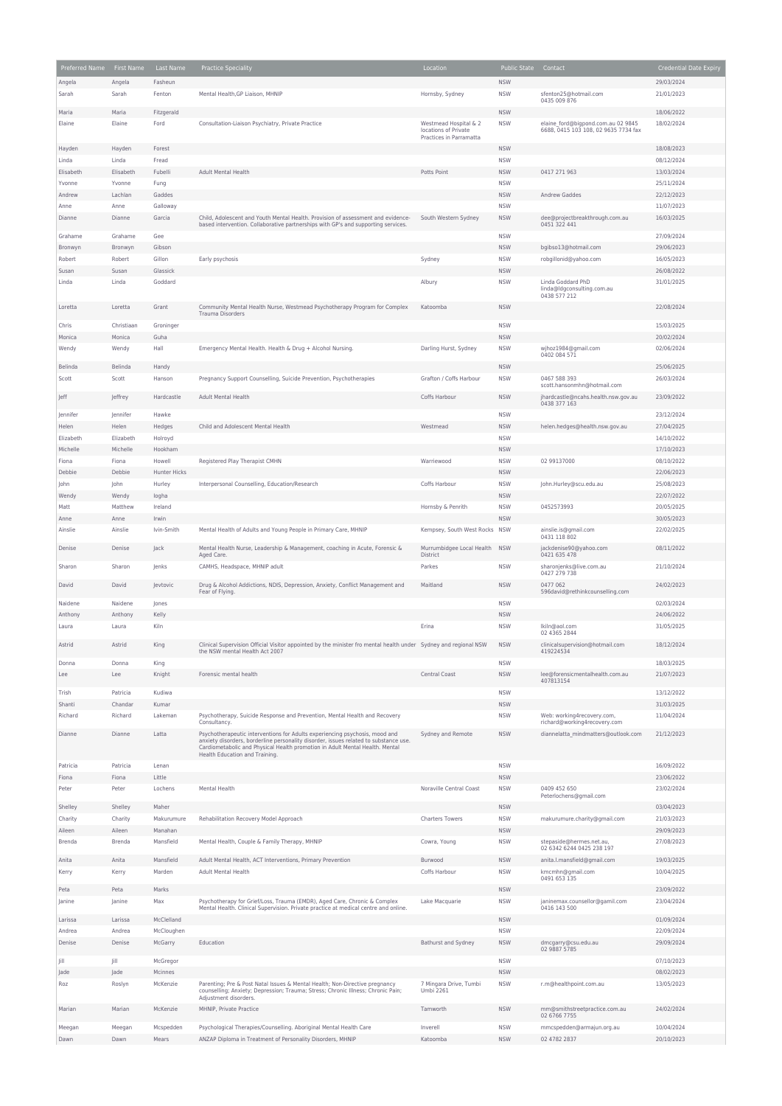| Preferred Name    | First Name        | Last Name           | <b>Practice Speciality</b>                                                                                                                                                         | Location                                                                 | Public State Contact     |                                                                            | <b>Credential Date Expiry</b> |
|-------------------|-------------------|---------------------|------------------------------------------------------------------------------------------------------------------------------------------------------------------------------------|--------------------------------------------------------------------------|--------------------------|----------------------------------------------------------------------------|-------------------------------|
| Angela            | Angela            | Fasheun             |                                                                                                                                                                                    |                                                                          | <b>NSW</b>               |                                                                            | 29/03/2024                    |
| Sarah             | Sarah             | Fenton              | Mental Health, GP Liaison, MHNIP                                                                                                                                                   | Hornsby, Sydney                                                          | <b>NSW</b>               | sfenton25@hotmail.com                                                      | 21/01/2023                    |
|                   |                   |                     |                                                                                                                                                                                    |                                                                          |                          | 0435 009 876                                                               |                               |
| Maria             | Maria             | Fitzgerald          |                                                                                                                                                                                    |                                                                          | <b>NSW</b>               |                                                                            | 18/06/2022                    |
| Elaine            | Elaine            | Ford                | Consultation-Liaison Psychiatry, Private Practice                                                                                                                                  | Westmead Hospital & 2<br>locations of Private<br>Practices in Parramatta | <b>NSW</b>               | elaine_ford@bigpond.com.au 02 9845<br>6688, 0415 103 108, 02 9635 7734 fax | 18/02/2024                    |
| Hayden            | Hayden            | Forest              |                                                                                                                                                                                    |                                                                          | <b>NSW</b>               |                                                                            | 18/08/2023                    |
| Linda             | Linda             | Fread               |                                                                                                                                                                                    |                                                                          | <b>NSW</b>               |                                                                            | 08/12/2024                    |
| Elisabeth         | Elisabeth         | Fubelli             | Adult Mental Health                                                                                                                                                                | Potts Point                                                              | <b>NSW</b>               | 0417 271 963                                                               | 13/03/2024                    |
| Yvonne            | Yvonne            | Fung                |                                                                                                                                                                                    |                                                                          | <b>NSW</b>               |                                                                            | 25/11/2024                    |
| Andrew            | Lachlan           | Gaddes              |                                                                                                                                                                                    |                                                                          | <b>NSW</b>               | Andrew Gaddes                                                              | 22/12/2023                    |
| Anne              | Anne              | Galloway            |                                                                                                                                                                                    |                                                                          | <b>NSW</b>               |                                                                            | 11/07/2023                    |
| Dianne            | Dianne            | Garcia              | Child, Adolescent and Youth Mental Health. Provision of assessment and evidence-                                                                                                   | South Western Sydney                                                     | <b>NSW</b>               | dee@projectbreakthrough.com.au                                             | 16/03/2025                    |
|                   |                   |                     | based intervention. Collaborative partnerships with GP's and supporting services.                                                                                                  |                                                                          |                          | 0451 322 441                                                               |                               |
| Grahame           | Grahame           | Gee                 |                                                                                                                                                                                    |                                                                          | <b>NSW</b>               |                                                                            | 27/09/2024                    |
| Bronwyn           | Bronwyn           | Gibson              |                                                                                                                                                                                    |                                                                          | <b>NSW</b>               | bgibso13@hotmail.com                                                       | 29/06/2023                    |
| Robert            | Robert            | Gillon              | Early psychosis                                                                                                                                                                    | Sydney                                                                   | <b>NSW</b>               | robgillonid@yahoo.com                                                      | 16/05/2023                    |
| Susan             | Susan             | Glassick            |                                                                                                                                                                                    |                                                                          | <b>NSW</b>               |                                                                            | 26/08/2022                    |
| Linda             | Linda             | Goddard             |                                                                                                                                                                                    | Albury                                                                   | <b>NSW</b>               | Linda Goddard PhD<br>linda@ldgconsulting.com.au<br>0438 577 212            | 31/01/2025                    |
| Loretta           | Loretta           | Grant               | Community Mental Health Nurse, Westmead Psychotherapy Program for Complex<br>Trauma Disorders                                                                                      | Katoomba                                                                 | <b>NSW</b>               |                                                                            | 22/08/2024                    |
| Chris             | Christiaan        | Groninger           |                                                                                                                                                                                    |                                                                          | <b>NSW</b>               |                                                                            | 15/03/2025                    |
| Monica            | Monica            | Guha                |                                                                                                                                                                                    |                                                                          | <b>NSW</b>               |                                                                            | 20/02/2024                    |
| Wendy             | Wendy             | Hall                | Emergency Mental Health. Health & Drug + Alcohol Nursing.                                                                                                                          | Darling Hurst, Sydney                                                    | <b>NSW</b>               | wjhoz1984@gmail.com<br>0402 084 571                                        | 02/06/2024                    |
| Belinda           | Belinda           | Handy               |                                                                                                                                                                                    |                                                                          | <b>NSW</b>               |                                                                            | 25/06/2025                    |
| Scott             | Scott             | Hanson              | Pregnancy Support Counselling, Suicide Prevention, Psychotherapies                                                                                                                 | Grafton / Coffs Harbour                                                  | <b>NSW</b>               | 0467 588 393                                                               | 26/03/2024                    |
|                   |                   |                     |                                                                                                                                                                                    |                                                                          |                          | scott.hansonmhn@hotmail.com                                                |                               |
| Jeff              | Jeffrey           | Hardcastle          | <b>Adult Mental Health</b>                                                                                                                                                         | Coffs Harbour                                                            | <b>NSW</b>               | jhardcastle@ncahs.health.nsw.gov.au<br>0438 377 163                        | 23/09/2022                    |
| Jennifer          | Jennifer          | Hawke               |                                                                                                                                                                                    |                                                                          | <b>NSW</b>               |                                                                            | 23/12/2024                    |
| Helen             | Helen             | Hedges              | Child and Adolescent Mental Health                                                                                                                                                 | Westmead                                                                 | <b>NSW</b>               | helen.hedges@health.nsw.gov.au                                             | 27/04/2025                    |
| Elizabeth         | Elizabeth         | Holroyd             |                                                                                                                                                                                    |                                                                          | <b>NSW</b>               |                                                                            | 14/10/2022                    |
| Michelle          | Michelle          | Hookham             |                                                                                                                                                                                    |                                                                          | <b>NSW</b>               |                                                                            | 17/10/2023                    |
| Fiona             | Fiona             | Howell              | Registered Play Therapist CMHN                                                                                                                                                     | Warriewood                                                               | <b>NSW</b>               | 02 99137000                                                                | 08/10/2022                    |
| Debbie            | Debbie            | <b>Hunter Hicks</b> |                                                                                                                                                                                    |                                                                          | <b>NSW</b>               |                                                                            | 22/06/2023                    |
| John              | John              | Hurley              | Interpersonal Counselling, Education/Research                                                                                                                                      | Coffs Harbour                                                            | <b>NSW</b>               | John.Hurley@scu.edu.au                                                     | 25/08/2023                    |
| Wendy             | Wendy             | logha               |                                                                                                                                                                                    |                                                                          | <b>NSW</b>               |                                                                            | 22/07/2022                    |
| Matt              | Matthew           | Ireland             |                                                                                                                                                                                    | Hornsby & Penrith                                                        | <b>NSW</b>               | 0452573993                                                                 | 20/05/2025                    |
| Anne              | Anne              | Irwin               |                                                                                                                                                                                    |                                                                          | <b>NSW</b>               |                                                                            | 30/05/2023                    |
| Ainslie<br>Denise | Ainslie<br>Denise | Ivin-Smith<br>Jack  | Mental Health of Adults and Young People in Primary Care, MHNIP<br>Mental Health Nurse, Leadership & Management, coaching in Acute, Forensic &                                     | Kempsey, South West Rocks NSW<br>Murrumbidgee Local Health               | <b>NSW</b>               | ainslie.is@gmail.com<br>0431 118 802<br>jackdenise90@yahoo.com             | 22/02/2025<br>08/11/2022      |
|                   |                   |                     | Aged Care.                                                                                                                                                                         | District                                                                 |                          | 0421 635 478                                                               |                               |
| Sharon            | Sharon            | Jenks               | CAMHS, Headspace, MHNIP adult                                                                                                                                                      | Parkes                                                                   | <b>NSW</b>               | sharonjenks@live.com.au<br>0427 279 738                                    | 21/10/2024                    |
| David             | David             | Jevtovic            | Drug & Alcohol Addictions, NDIS, Depression, Anxiety, Conflict Management and<br>Fear of Flying                                                                                    | Maitland                                                                 | <b>NSW</b>               | 0477 062<br>596david@rethinkcounselling.com                                | 24/02/2023                    |
| Naidene           | Naidene           | Jones               |                                                                                                                                                                                    |                                                                          | <b>NSW</b>               |                                                                            | 02/03/2024                    |
| Anthony           | Anthony           | Kelly               |                                                                                                                                                                                    |                                                                          | <b>NSW</b>               |                                                                            | 24/06/2022                    |
| Laura             | Laura             | Kiln                |                                                                                                                                                                                    | Erina                                                                    | <b>NSW</b>               | Ikiln@aol.com<br>02 4365 2844                                              | 31/05/2025                    |
| Astrid            | Astrid            | King                | Clinical Supervision Official Visitor appointed by the minister fro mental health under Sydney and regional NSW<br>the NSW mental Health Act 200                                   |                                                                          | <b>NSW</b>               | clinicalsupervision@hotmail.com<br>419224534                               | 18/12/2024                    |
| Donna             | Donna             | King                |                                                                                                                                                                                    |                                                                          | <b>NSW</b>               |                                                                            | 18/03/2025                    |
| Lee               | Lee               | Knight              | Forensic mental health                                                                                                                                                             | Central Coast                                                            | <b>NSW</b>               | lee@forensicmentalhealth.com.au<br>407813154                               | 21/07/2023                    |
| Trish             | Patricia          | Kudiwa              |                                                                                                                                                                                    |                                                                          | <b>NSW</b>               |                                                                            | 13/12/2022                    |
| Shanti            | Chandar           | Kumar               |                                                                                                                                                                                    |                                                                          | <b>NSW</b>               |                                                                            | 31/03/2025                    |
| Richard           | Richard           | Lakeman             | Psychotherapy, Suicide Response and Prevention, Mental Health and Recovery                                                                                                         |                                                                          | <b>NSW</b>               | Web: working4recovery.com,                                                 | 11/04/2024                    |
| Dianne            | Dianne            | Latta               | Consultancy<br>Psychotherapeutic interventions for Adults experiencing psychosis, mood and<br>anxiety disorders, borderline personality disorder, issues related to substance use. | Sydney and Remote                                                        | <b>NSW</b>               | richard@working4recovery.com<br>diannelatta_mindmatters@outlook.com        | 21/12/2023                    |
|                   | Patricia          |                     | Cardiometabolic and Physical Health promotion in Adult Mental Health. Mental<br>Health Education and Training.                                                                     |                                                                          |                          |                                                                            |                               |
| Patricia<br>Fiona | Fiona             | Lenan<br>Little     |                                                                                                                                                                                    |                                                                          | <b>NSW</b><br><b>NSW</b> |                                                                            | 16/09/2022<br>23/06/2022      |
| Peter             | Peter             | Lochens             | Mental Health                                                                                                                                                                      | Noraville Central Coast                                                  | <b>NSW</b>               | 0409 452 650                                                               | 23/02/2024                    |
|                   |                   |                     |                                                                                                                                                                                    |                                                                          |                          | Peterlochens@gmail.com                                                     |                               |
| Shelley           | Shelley           | Maher               |                                                                                                                                                                                    |                                                                          | <b>NSW</b>               |                                                                            | 03/04/2023                    |
| Charity           | Charity           | Makurumure          | Rehabilitation Recovery Model Approach                                                                                                                                             | <b>Charters Towers</b>                                                   | <b>NSW</b>               | makurumure.charity@gmail.com                                               | 21/03/2023                    |
| Aileen            | Aileen            | Manahan             |                                                                                                                                                                                    |                                                                          | <b>NSW</b>               |                                                                            | 29/09/2023                    |
| Brenda            | Brenda            | Mansfield           | Mental Health, Couple & Family Therapy, MHNIP                                                                                                                                      | Cowra, Young                                                             | <b>NSW</b>               | stepaside@hermes.net.au,<br>02 6342 6244 0425 238 197                      | 27/08/2023                    |
| Anita             | Anita             | Mansfield           | Adult Mental Health, ACT Interventions, Primary Prevention                                                                                                                         | Burwood                                                                  | <b>NSW</b>               | anita.l.mansfield@gmail.com                                                | 19/03/2025                    |
| Kerry             | Kerry             | Marden              | Adult Mental Health                                                                                                                                                                | Coffs Harbour                                                            | <b>NSW</b>               | kmcmhn@gmail.com                                                           | 10/04/2025                    |
|                   |                   |                     |                                                                                                                                                                                    |                                                                          |                          | 0491 653 135                                                               |                               |
| Peta              | Peta              | Marks               |                                                                                                                                                                                    |                                                                          | <b>NSW</b>               |                                                                            | 23/09/2022                    |
| Janine            | Janine            | Max                 | Psychotherapy for Grief/Loss, Trauma (EMDR), Aged Care, Chronic & Complex                                                                                                          | Lake Macquarie                                                           | <b>NSW</b>               | janinemax.counsellor@gamil.com<br>0416 143 500                             | 23/04/2024                    |
|                   |                   |                     | Mental Health. Clinical Supervision. Private practice at medical centre and online.                                                                                                |                                                                          |                          |                                                                            |                               |
| Larissa           | Larissa           | McClelland          |                                                                                                                                                                                    |                                                                          | <b>NSW</b>               |                                                                            | 01/09/2024                    |
| Andrea            | Andrea            | McCloughen          |                                                                                                                                                                                    |                                                                          | <b>NSW</b>               |                                                                            | 22/09/2024                    |
| Denise            | Denise            | McGarry             | Education                                                                                                                                                                          | Bathurst and Sydney                                                      | <b>NSW</b>               | dmcgarry@csu.edu.au<br>02 9887 5785                                        | 29/09/2024                    |
| Jill              | Jill              | McGregor            |                                                                                                                                                                                    |                                                                          | <b>NSW</b>               |                                                                            | 07/10/2023                    |
| Jade              | Jade              | Mcinnes             |                                                                                                                                                                                    |                                                                          | <b>NSW</b>               |                                                                            | 08/02/2023                    |
| Roz               | Roslyn            | McKenzie            | Parenting; Pre & Post Natal Issues & Mental Health; Non-Directive pregnancy<br>counselling; Anxiety; Depression; Trauma; Stress; Chronic Illness; Chronic Pain;                    | 7 Mingara Drive, Tumbi<br>Umbi 2261                                      | <b>NSW</b>               | r.m@healthpoint.com.au                                                     | 13/05/2023                    |
| Marian            | Marian            | McKenzie            | Adjustment disorders.<br>MHNIP, Private Practice                                                                                                                                   | Tamworth                                                                 | <b>NSW</b>               | mm@smithstreetpractice.com.au                                              | 24/02/2024                    |
|                   |                   | Mcspedden           | Psychological Therapies/Counselling. Aboriginal Mental Health Care                                                                                                                 | Inverell                                                                 | <b>NSW</b>               | 02 6766 7755                                                               | 10/04/2024                    |
| Meegan<br>Dawn    | Meegan<br>Dawn    | Mears               | ANZAP Diploma in Treatment of Personality Disorders, MHNIP                                                                                                                         | Katoomba                                                                 | <b>NSW</b>               | mmcspedden@armajun.org.au<br>02 4782 2837                                  | 20/10/2023                    |
|                   |                   |                     |                                                                                                                                                                                    |                                                                          |                          |                                                                            |                               |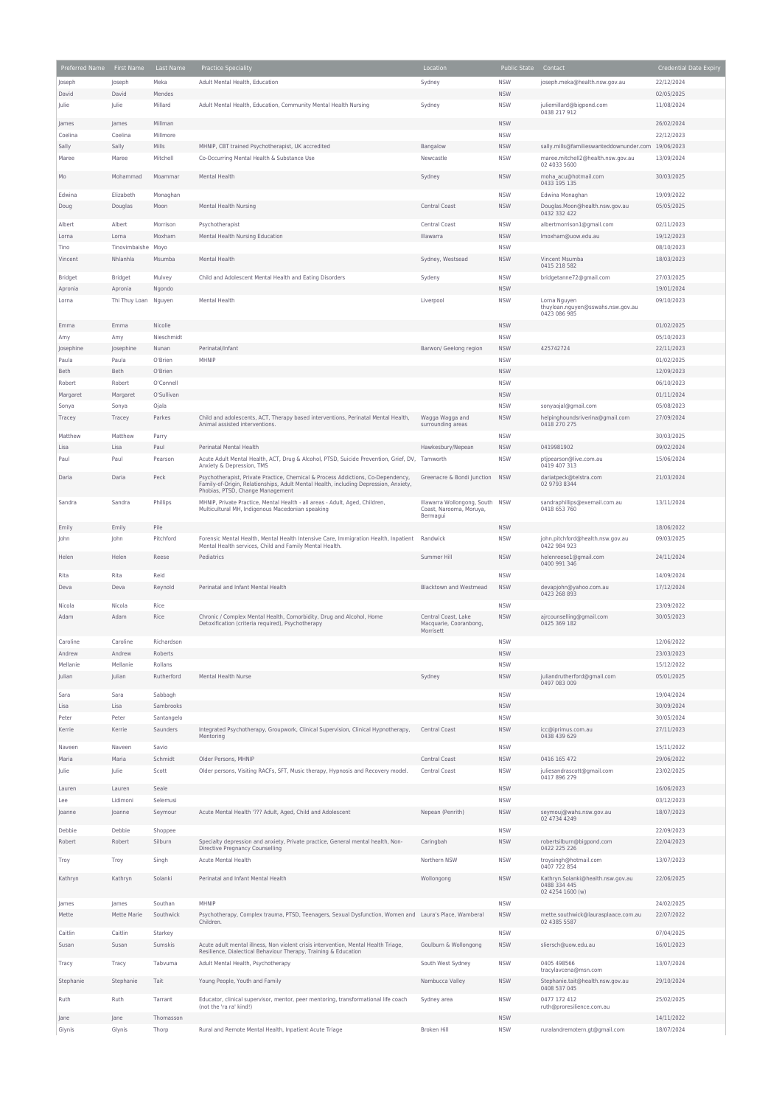| Preferred Name   | First Name           | Last Name  | <b>Practice Speciality</b>                                                                                                                            | Location                                                   | Public State | Contact                                             | <b>Credential Date Expiry</b> |
|------------------|----------------------|------------|-------------------------------------------------------------------------------------------------------------------------------------------------------|------------------------------------------------------------|--------------|-----------------------------------------------------|-------------------------------|
| Joseph           | Joseph               | Meka       | Adult Mental Health, Education                                                                                                                        | Sydney                                                     | <b>NSW</b>   | joseph.meka@health.nsw.gov.au                       | 22/12/2024                    |
| David            | David                | Mendes     |                                                                                                                                                       |                                                            | <b>NSW</b>   |                                                     | 02/05/2025                    |
| Julie            | Julie                | Millard    | Adult Mental Health, Education, Community Mental Health Nursing                                                                                       | Sydney                                                     | <b>NSW</b>   | juliemillard@bigpond.com                            | 11/08/2024                    |
|                  |                      |            |                                                                                                                                                       |                                                            |              | 0438 217 912                                        |                               |
| James            | James                | Millman    |                                                                                                                                                       |                                                            | <b>NSW</b>   |                                                     | 26/02/2024                    |
| Coelina          | Coelina              | Millmore   |                                                                                                                                                       |                                                            | <b>NSW</b>   |                                                     | 22/12/2023                    |
| Sally            | Sally                | Mills      | MHNIP, CBT trained Psychotherapist, UK accredited                                                                                                     | Bangalow                                                   | <b>NSW</b>   | sally.mills@familieswanteddownunder.com 19/06/2023  |                               |
| Maree            | Maree                | Mitchell   | Co-Occurring Mental Health & Substance Use                                                                                                            | Newcastle                                                  | <b>NSW</b>   | maree.mitchell2@health.nsw.gov.au                   | 13/09/2024                    |
|                  |                      |            |                                                                                                                                                       |                                                            |              | 02 4033 5600                                        |                               |
| Mo               | Mohammad             | Moammar    | Mental Health                                                                                                                                         | Sydney                                                     | <b>NSW</b>   | moha acu@hotmail.com                                | 30/03/2025                    |
|                  | Elizabeth            |            |                                                                                                                                                       |                                                            |              | 0433 195 135                                        |                               |
| Edwina           |                      | Monaghan   |                                                                                                                                                       |                                                            | <b>NSW</b>   | Edwina Monaghan                                     | 19/09/2022                    |
| Doug             | Douglas              | Moon       | Mental Health Nursing                                                                                                                                 | Central Coast                                              | <b>NSW</b>   | Douglas.Moon@health.nsw.gov.au<br>0432 332 422      | 05/05/2025                    |
| Albert           | Albert               | Morrison   | Psychotherapist                                                                                                                                       | Central Coast                                              | <b>NSW</b>   | albertmorrison1@gmail.com                           | 02/11/2023                    |
| Lorna            | Lorna                | Moxham     | Mental Health Nursing Education                                                                                                                       | Illawarra                                                  | <b>NSW</b>   | Imoxham@uow.edu.au                                  | 19/12/2023                    |
| Tino             | Tinovimbaishe Moyo   |            |                                                                                                                                                       |                                                            | <b>NSW</b>   |                                                     | 08/10/2023                    |
| Vincent          | Nhlanhla             | Msumba     | Mental Health                                                                                                                                         | Sydney, Westsead                                           | <b>NSW</b>   | Vincent Msumba                                      | 18/03/2023                    |
|                  |                      |            |                                                                                                                                                       |                                                            |              | 0415 218 582                                        |                               |
| Bridget          | Bridget              | Mulvey     | Child and Adolescent Mental Health and Eating Disorders                                                                                               | Sydeny                                                     | <b>NSW</b>   | bridgetanne72@gmail.com                             | 27/03/2025                    |
| Apronia          | Apronia              | Ngondo     |                                                                                                                                                       |                                                            | <b>NSW</b>   |                                                     | 19/01/2024                    |
| Lorna            | Thi Thuy Loan Nguyen |            | Mental Health                                                                                                                                         | Liverpool                                                  | <b>NSW</b>   | Lorna Nguyen                                        | 09/10/2023                    |
|                  |                      |            |                                                                                                                                                       |                                                            |              | thuyloan.nguyen@sswahs.nsw.gov.au<br>0423 086 985   |                               |
| Emma             | Emma                 | Nicolle    |                                                                                                                                                       |                                                            | <b>NSW</b>   |                                                     | 01/02/2025                    |
|                  |                      | Nieschmidt |                                                                                                                                                       |                                                            | <b>NSW</b>   |                                                     | 05/10/2023                    |
| Amy<br>Josephine | Amy                  | Nunan      | Perinatal/Infant                                                                                                                                      | Barwon/ Geelong region                                     | <b>NSW</b>   | 425742724                                           | 22/11/2023                    |
|                  | Josephine            |            |                                                                                                                                                       |                                                            |              |                                                     |                               |
| Paula            | Paula                | O'Brien    | MHNIP                                                                                                                                                 |                                                            | <b>NSW</b>   |                                                     | 01/02/2025                    |
| Beth             | Beth                 | O'Brien    |                                                                                                                                                       |                                                            | <b>NSW</b>   |                                                     | 12/09/2023                    |
| Robert           | Robert               | O'Connell  |                                                                                                                                                       |                                                            | <b>NSW</b>   |                                                     | 06/10/2023                    |
| Margaret         | Margaret             | O'Sullivan |                                                                                                                                                       |                                                            | <b>NSW</b>   |                                                     | 01/11/2024                    |
| Sonya            | Sonya                | Ojala      |                                                                                                                                                       |                                                            | <b>NSW</b>   | sonyaojal@gmail.com                                 | 05/08/2023                    |
| Tracey           | Tracey               | Parkes     | Child and adolescents, ACT, Therapy based interventions, Perinatal Mental Health,<br>Animal assisted interventions.                                   | Wagga Wagga and<br>surrounding areas                       | <b>NSW</b>   | helpinghoundsriverina@gmail.com<br>0418 270 275     | 27/09/2024                    |
|                  |                      |            |                                                                                                                                                       |                                                            |              |                                                     |                               |
| Matthew          | Matthew              | Parry      |                                                                                                                                                       |                                                            | <b>NSW</b>   |                                                     | 30/03/2025                    |
| Lisa             | Lisa                 | Paul       | Perinatal Mental Health                                                                                                                               | Hawkesbury/Nepean                                          | <b>NSW</b>   | 0419981902                                          | 09/02/2024                    |
| Paul             | Paul                 | Pearson    | Acute Adult Mental Health, ACT, Drug & Alcohol, PTSD, Suicide Prevention, Grief, DV, Tamworth<br>Anxiety & Depression, TMS                            |                                                            | <b>NSW</b>   | ptjpearson@live.com.au<br>0419 407 313              | 15/06/2024                    |
| Daria            | Daria                | Peck       | Psychotherapist, Private Practice, Chemical & Process Addictions, Co-Dependency,                                                                      | Greenacre & Bondi Junction                                 | <b>NSW</b>   | dariatpeck@telstra.com                              | 21/03/2024                    |
|                  |                      |            | Family-of-Origin, Relationships, Adult Mental Health, including Depression, Anxiety,<br>Phobias, PTSD, Change Management                              |                                                            |              | 02 9793 8344                                        |                               |
|                  |                      |            |                                                                                                                                                       |                                                            |              |                                                     |                               |
| Sandra           | Sandra               | Phillips   | MHNIP, Private Practice, Mental Health - all areas - Adult, Aged, Children,<br>Multicultural MH, Indigenous Macedonian speaking                       | Illawarra Wollongong, South NSW<br>Coast, Narooma, Moruya, |              | sandraphillips@exemail.com.au<br>0418 653 760       | 13/11/2024                    |
|                  |                      |            |                                                                                                                                                       | Bermagui                                                   |              |                                                     |                               |
| Emily            | Emily                | Pile       |                                                                                                                                                       |                                                            | <b>NSW</b>   |                                                     | 18/06/2022                    |
| John             | John                 | Pitchford  | Forensic Mental Health, Mental Health Intensive Care, Immigration Health, Inpatient<br>Mental Health services, Child and Family Mental Health         | Randwick                                                   | <b>NSW</b>   | john.pitchford@health.nsw.gov.au<br>0422 984 923    | 09/03/2025                    |
| Helen            | Helen                | Reese      | Pediatrics                                                                                                                                            | Summer Hill                                                | <b>NSW</b>   | helenreese1@gmail.com                               | 24/11/2024                    |
|                  |                      |            |                                                                                                                                                       |                                                            |              | 0400 991 346                                        |                               |
| Rita             | Rita                 | Reid       |                                                                                                                                                       |                                                            | <b>NSW</b>   |                                                     | 14/09/2024                    |
| Deva             | Deva                 | Reynold    | Perinatal and Infant Mental Health                                                                                                                    | <b>Blacktown and Westmead</b>                              | <b>NSW</b>   | devapjohn@yahoo.com.au                              | 17/12/2024                    |
|                  |                      |            |                                                                                                                                                       |                                                            |              | 0423 268 893                                        |                               |
| Nicola           | Nicola               | Rice       |                                                                                                                                                       |                                                            | <b>NSW</b>   |                                                     | 23/09/2022                    |
| Adam             | Adam                 | Rice       | Chronic / Complex Mental Health, Comorbidity, Drug and Alcohol, Home<br>Detoxification (criteria required), Psychotherapy                             | Central Coast, Lake<br>Macquarie, Cooranbong,              | <b>NSW</b>   | ajrcounselling@gmail.com<br>0425 369 182            | 30/05/2023                    |
|                  |                      |            |                                                                                                                                                       | Morrisett                                                  |              |                                                     |                               |
| Caroline         | Caroline             | Richardson |                                                                                                                                                       |                                                            | <b>NSW</b>   |                                                     | 12/06/2022                    |
| Andrew           | Andrew               | Roberts    |                                                                                                                                                       |                                                            | <b>NSW</b>   |                                                     | 23/03/2023                    |
| Mellanie         | Mellanie             | Rollans    |                                                                                                                                                       |                                                            | <b>NSW</b>   |                                                     | 15/12/2022                    |
| Julian           | Julian               | Rutherford | Mental Health Nurse                                                                                                                                   | Sydney                                                     | <b>NSW</b>   | juliandrutherford@gmail.com                         | 05/01/2025                    |
|                  |                      |            |                                                                                                                                                       |                                                            |              | 0497 083 009                                        |                               |
| Sara             | Sara                 | Sabbagh    |                                                                                                                                                       |                                                            | <b>NSW</b>   |                                                     | 19/04/2024                    |
| Lisa             | Lisa                 | Sambrooks  |                                                                                                                                                       |                                                            | <b>NSW</b>   |                                                     | 30/09/2024                    |
| Peter            | Peter                | Santangelo |                                                                                                                                                       |                                                            | <b>NSW</b>   |                                                     | 30/05/2024                    |
| Kerrie           | Kerrie               | Saunders   | Integrated Psychotherapy, Groupwork, Clinical Supervision, Clinical Hypnotherapy,                                                                     | Central Coast                                              | <b>NSW</b>   | icc@iprimus.com.au<br>0438 439 629                  | 27/11/2023                    |
|                  |                      |            | Mentoring                                                                                                                                             |                                                            |              |                                                     |                               |
| Naveen           | Naveen               | Savio      |                                                                                                                                                       |                                                            | <b>NSW</b>   |                                                     | 15/11/2022                    |
| Maria            | Maria                | Schmidt    | Older Persons, MHNIP                                                                                                                                  | Central Coast                                              | <b>NSW</b>   | 0416 165 472                                        | 29/06/2022                    |
| Julie            | Julie                | Scott      | Older persons, Visiting RACFs, SFT, Music therapy, Hypnosis and Recovery model.                                                                       | Central Coast                                              | <b>NSW</b>   | juliesandrascott@gmail.com<br>0417 896 279          | 23/02/2025                    |
| Lauren           | Lauren               | Seale      |                                                                                                                                                       |                                                            | <b>NSW</b>   |                                                     | 16/06/2023                    |
| Lee              | Lidimoni             | Selemusi   |                                                                                                                                                       |                                                            | <b>NSW</b>   |                                                     | 03/12/2023                    |
| Joanne           | Joanne               | Seymour    | Acute Mental Health '??? Adult, Aged, Child and Adolescent                                                                                            | Nepean (Penrith)                                           | <b>NSW</b>   | seymouj@wahs.nsw.gov.au                             | 18/07/2023                    |
|                  |                      |            |                                                                                                                                                       |                                                            |              | 02 4734 4249                                        |                               |
| Debbie           | Debbie               | Shoppee    |                                                                                                                                                       |                                                            | <b>NSW</b>   |                                                     | 22/09/2023                    |
| Robert           | Robert               | Silburn    | Specialty depression and anxiety, Private practice, General mental health, Non-                                                                       | Caringbah                                                  | <b>NSW</b>   | robertsilburn@bigpond.com                           | 22/04/2023                    |
|                  |                      |            | Directive Pregnancy Counselling                                                                                                                       |                                                            |              | 0422 225 226                                        |                               |
| Troy             | Troy                 | Singh      | Acute Mental Health                                                                                                                                   | Northern NSW                                               | <b>NSW</b>   | troysingh@hotmail.com<br>0407 722 854               | 13/07/2023                    |
| Kathryn          | Kathryn              | Solanki    | Perinatal and Infant Mental Health                                                                                                                    | Wollongong                                                 | <b>NSW</b>   | Kathryn.Solanki@health.nsw.gov.au                   | 22/06/2025                    |
|                  |                      |            |                                                                                                                                                       |                                                            |              | 0488 334 445                                        |                               |
|                  |                      |            |                                                                                                                                                       |                                                            |              | 02 4254 1600 (w)                                    |                               |
| James            | James                | Southan    | MHNIP                                                                                                                                                 |                                                            | <b>NSW</b>   |                                                     | 24/02/2025                    |
| Mette            | Mette Marie          | Southwick  | Psychotherapy, Complex trauma, PTSD, Teenagers, Sexual Dysfunction, Women and Laura's Place, Wamberal<br>Children.                                    |                                                            | <b>NSW</b>   | mette.southwick@laurasplaace.com.au<br>02 4385 5587 | 22/07/2022                    |
|                  |                      |            |                                                                                                                                                       |                                                            |              |                                                     |                               |
| Caitlin          | Caitlin              | Starkey    |                                                                                                                                                       |                                                            | <b>NSW</b>   |                                                     | 07/04/2025                    |
| Susan            | Susan                | Sumskis    | Acute adult mental illness, Non violent crisis intervention, Mental Health Triage,<br>Resilience, Dialectical Behaviour Therapy, Training & Education | Goulburn & Wollongong                                      | <b>NSW</b>   | sliersch@uow.edu.au                                 | 16/01/2023                    |
| Tracy            | Tracy                | Tabvuma    | Adult Mental Health, Psychotherapy                                                                                                                    | South West Sydney                                          | <b>NSW</b>   | 0405 498566                                         | 13/07/2024                    |
|                  |                      |            |                                                                                                                                                       |                                                            |              | tracylavcena@msn.com                                |                               |
| Stephanie        | Stephanie            | Tait       | Young People, Youth and Family                                                                                                                        | Nambucca Valley                                            | <b>NSW</b>   | Stephanie.tait@health.nsw.gov.au<br>0408 537 045    | 29/10/2024                    |
|                  |                      |            |                                                                                                                                                       |                                                            |              |                                                     |                               |
| Ruth             | Ruth                 | Tarrant    | Educator, clinical supervisor, mentor, peer mentoring, transformational life coach<br>(not the 'ra ra' kind!)                                         | Sydney area                                                | <b>NSW</b>   | 0477 172 412<br>ruth@proresilience.com.au           | 25/02/2025                    |
| Jane             | Jane                 | Thomasson  |                                                                                                                                                       |                                                            | <b>NSW</b>   |                                                     | 14/11/2022                    |
| Glynis           | Glynis               | Thorp      | Rural and Remote Mental Health, Inpatient Acute Triage                                                                                                | Broken Hill                                                | <b>NSW</b>   | ruralandremotern.gt@gmail.com                       | 18/07/2024                    |
|                  |                      |            |                                                                                                                                                       |                                                            |              |                                                     |                               |